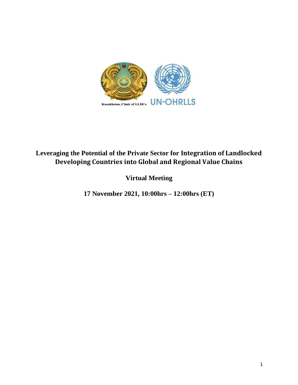

## **Leveraging the Potential of the Private Sector for Integration of Landlocked Developing Countries into Global and Regional Value Chains**

**Virtual Meeting**

**17 November 2021, 10:00hrs – 12:00hrs (ET)**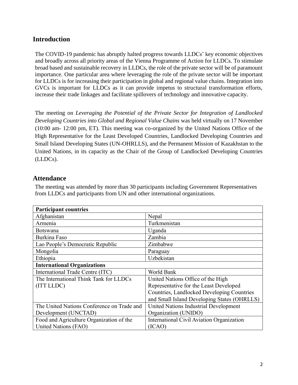## **Introduction**

The COVID-19 pandemic has abruptly halted progress towards LLDCs' key economic objectives and broadly across all priority areas of the Vienna Programme of Action for LLDCs. To stimulate broad based and sustainable recovery in LLDCs, the role of the private sector will be of paramount importance. One particular area where leveraging the role of the private sector will be important for LLDCs is for increasing their participation in global and regional value chains. Integration into GVCs is important for LLDCs as it can provide impetus to structural transformation efforts, increase their trade linkages and facilitate spillovers of technology and innovative capacity.

The meeting on *Leveraging the Potential of the Private Sector for Integration of Landlocked Developing Countries into Global and Regional Value Chains* was held virtually on 17 November (10:00 am- 12:00 pm, ET). This meeting was co-organized by the United Nations Office of the High Representative for the Least Developed Countries, Landlocked Developing Countries and Small Island Developing States (UN-OHRLLS), and the Permanent Mission of Kazakhstan to the United Nations, in its capacity as the Chair of the Group of Landlocked Developing Countries (LLDCs).

## **Attendance**

The meeting was attended by more than 30 participants including Government Representatives from LLDCs and participants from UN and other international organizations.

| <b>Participant countries</b>               |                                             |
|--------------------------------------------|---------------------------------------------|
| Afghanistan                                | Nepal                                       |
| Armenia                                    | Turkmenistan                                |
| <b>Botswana</b>                            | Uganda                                      |
| Burkina Faso                               | Zambia                                      |
| Lao People's Democratic Republic           | Zimbabwe                                    |
| Mongolia                                   | Paraguay                                    |
| Ethiopia                                   | Uzbekistan                                  |
| <b>International Organizations</b>         |                                             |
| International Trade Centre (ITC)           | World Bank                                  |
| The International Think Tank for LLDCs     | United Nations Office of the High           |
| (ITT LLDC)                                 | Representative for the Least Developed      |
|                                            | Countries, Landlocked Developing Countries  |
|                                            | and Small Island Developing States (OHRLLS) |
| The United Nations Conference on Trade and | United Nations Industrial Development       |
| Development (UNCTAD)                       | Organization (UNIDO)                        |
| Food and Agriculture Organization of the   | International Civil Aviation Organization   |
| United Nations (FAO)                       | (ICAO)                                      |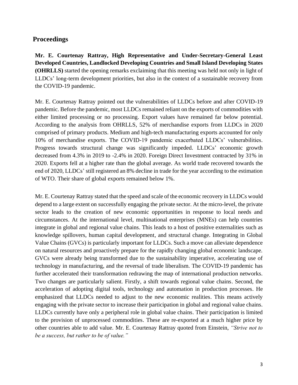## **Proceedings**

**Mr. E. Courtenay Rattray, High Representative and Under-Secretary-General Least Developed Countries, Landlocked Developing Countries and Small Island Developing States (OHRLLS)** started the opening remarks exclaiming that this meeting was held not only in light of LLDCs' long-term development priorities, but also in the context of a sustainable recovery from the COVID-19 pandemic.

Mr. E. Courtenay Rattray pointed out the vulnerabilities of LLDCs before and after COVID-19 pandemic. Before the pandemic, most LLDCs remained reliant on the exports of commodities with either limited processing or no processing. Export values have remained far below potential. According to the analysis from OHRLLS, 52% of merchandise exports from LLDCs in 2020 comprised of primary products. Medium and high-tech manufacturing exports accounted for only 10% of merchandise exports. The COVID-19 pandemic exacerbated LLDCs' vulnerabilities. Progress towards structural change was significantly impeded. LLDCs' economic growth decreased from 4.3% in 2019 to -2.4% in 2020. Foreign Direct Investment contracted by 31% in 2020. Exports fell at a higher rate than the global average. As world trade recovered towards the end of 2020, LLDCs' still registered an 8% decline in trade for the year according to the estimation of WTO. Their share of global exports remained below 1%.

Mr. E. Courtenay Rattray stated that the speed and scale of the economic recovery in LLDCs would depend to a large extent on successfully engaging the private sector. At the micro-level, the private sector leads to the creation of new economic opportunities in response to local needs and circumstances. At the international level, multinational enterprises (MNEs) can help countries integrate in global and regional value chains. This leads to a host of positive externalities such as knowledge spillovers, human capital development, and structural change. Integrating in Global Value Chains (GVCs) is particularly important for LLDCs. Such a move can alleviate dependence on natural resources and proactively prepare for the rapidly changing global economic landscape. GVCs were already being transformed due to the sustainability imperative, accelerating use of technology in manufacturing, and the reversal of trade liberalism. The COVID-19 pandemic has further accelerated their transformation redrawing the map of international production networks. Two changes are particularly salient. Firstly, a shift towards regional value chains. Second, the acceleration of adopting digital tools, technology and automation in production processes. He emphasized that LLDCs needed to adjust to the new economic realities. This means actively engaging with the private sector to increase their participation in global and regional value chains. LLDCs currently have only a peripheral role in global value chains. Their participation is limited to the provision of unprocessed commodities. These are re-exported at a much higher price by other countries able to add value. Mr. E. Courtenay Rattray quoted from Einstein, *"Strive not to be a success, but rather to be of value."*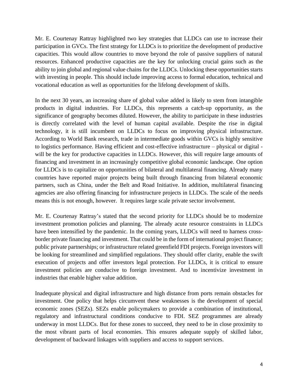Mr. E. Courtenay Rattray highlighted two key strategies that LLDCs can use to increase their participation in GVCs. The first strategy for LLDCs is to prioritize the development of productive capacities. This would allow countries to move beyond the role of passive suppliers of natural resources. Enhanced productive capacities are the key for unlocking crucial gains such as the ability to join global and regional value chains for the LLDCs. Unlocking these opportunities starts with investing in people. This should include improving access to formal education, technical and vocational education as well as opportunities for the lifelong development of skills.

In the next 30 years, an increasing share of global value added is likely to stem from intangible products in digital industries. For LLDCs, this represents a catch-up opportunity, as the significance of geography becomes diluted. However, the ability to participate in these industries is directly correlated with the level of human capital available. Despite the rise in digital technology, it is still incumbent on LLDCs to focus on improving physical infrastructure. According to World Bank research, trade in intermediate goods within GVCs is highly sensitive to logistics performance. Having efficient and cost-effective infrastructure – physical or digital will be the key for productive capacities in LLDCs. However, this will require large amounts of financing and investment in an increasingly competitive global economic landscape. One option for LLDCs is to capitalize on opportunities of bilateral and multilateral financing. Already many countries have reported major projects being built through financing from bilateral economic partners, such as China, under the Belt and Road Initiative. In addition, multilateral financing agencies are also offering financing for infrastructure projects in LLDCs. The scale of the needs means this is not enough, however. It requires large scale private sector involvement.

Mr. E. Courtenay Rattray's stated that the second priority for LLDCs should be to modernize investment promotion policies and planning. The already acute resource constraints in LLDCs have been intensified by the pandemic. In the coming years, LLDCs will need to harness crossborder private financing and investment. That could be in the form of international project finance; public private partnerships; or infrastructure related greenfield FDI projects. Foreign investors will be looking for streamlined and simplified regulations. They should offer clarity, enable the swift execution of projects and offer investors legal protection. For LLDCs, it is critical to ensure investment policies are conducive to foreign investment. And to incentivize investment in industries that enable higher value addition.

Inadequate physical and digital infrastructure and high distance from ports remain obstacles for investment. One policy that helps circumvent these weaknesses is the development of special economic zones (SEZs). SEZs enable policymakers to provide a combination of institutional, regulatory and infrastructural conditions conducive to FDI. SEZ programmes are already underway in most LLDCs. But for these zones to succeed, they need to be in close proximity to the most vibrant parts of local economies. This ensures adequate supply of skilled labor, development of backward linkages with suppliers and access to support services.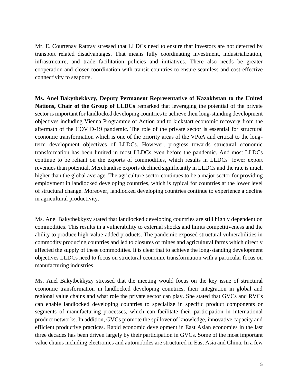Mr. E. Courtenay Rattray stressed that LLDCs need to ensure that investors are not deterred by transport related disadvantages. That means fully coordinating investment, industrialization, infrastructure, and trade facilitation policies and initiatives. There also needs be greater cooperation and closer coordination with transit countries to ensure seamless and cost-effective connectivity to seaports.

**Ms. Anel Bakytbekkyzy, Deputy Permanent Representative of Kazakhstan to the United Nations, Chair of the Group of LLDCs** remarked that leveraging the potential of the private sector isimportant for landlocked developing countries to achieve their long-standing development objectives including Vienna Programme of Action and to kickstart economic recovery from the aftermath of the COVID-19 pandemic. The role of the private sector is essential for structural economic transformation which is one of the priority areas of the VPoA and critical to the longterm development objectives of LLDCs. However, progress towards structural economic transformation has been limited in most LLDCs even before the pandemic. And most LLDCs continue to be reliant on the exports of commodities, which results in LLDCs' lower export revenues than potential. Merchandise exports declined significantly in LLDCs and the rate is much higher than the global average. The agriculture sector continues to be a major sector for providing employment in landlocked developing countries, which is typical for countries at the lower level of structural change. Moreover, landlocked developing countries continue to experience a decline in agricultural productivity.

Ms. Anel Bakytbekkyzy stated that landlocked developing countries are still highly dependent on commodities. This results in a vulnerability to external shocks and limits competitiveness and the ability to produce high-value-added products. The pandemic exposed structural vulnerabilities in commodity producing countries and led to closures of mines and agricultural farms which directly affected the supply of these commodities. It is clear that to achieve the long-standing development objectives LLDCs need to focus on structural economic transformation with a particular focus on manufacturing industries.

Ms. Anel Bakytbekkyzy stressed that the meeting would focus on the key issue of structural economic transformation in landlocked developing countries, their integration in global and regional value chains and what role the private sector can play. She stated that GVCs and RVCs can enable landlocked developing countries to specialize in specific product components or segments of manufacturing processes, which can facilitate their participation in international product networks. In addition, GVCs promote the spillover of knowledge, innovative capacity and efficient productive practices. Rapid economic development in East Asian economies in the last three decades has been driven largely by their participation in GVCs. Some of the most important value chains including electronics and automobiles are structured in East Asia and China. In a few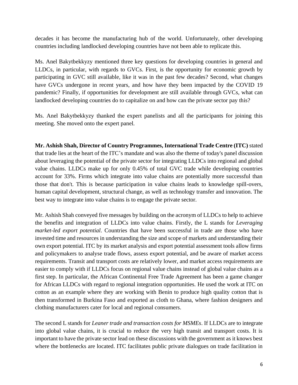decades it has become the manufacturing hub of the world. Unfortunately, other developing countries including landlocked developing countries have not been able to replicate this.

Ms. Anel Bakytbekkyzy mentioned three key questions for developing countries in general and LLDCs, in particular, with regards to GVCs. First, is the opportunity for economic growth by participating in GVC still available, like it was in the past few decades? Second, what changes have GVCs undergone in recent years, and how have they been impacted by the COVID 19 pandemic? Finally, if opportunities for development are still available through GVCs, what can landlocked developing countries do to capitalize on and how can the private sector pay this?

Ms. Anel Bakytbekkyzy thanked the expert panelists and all the participants for joining this meeting. She moved onto the expert panel.

**Mr. Ashish Shah, Director of Country Programmes, International Trade Centre (ITC)** stated that trade lies at the heart of the ITC's mandate and was also the theme of today's panel discussion about leveraging the potential of the private sector for integrating LLDCs into regional and global value chains. LLDCs make up for only 0.45% of total GVC trade while developing countries account for 33%. Firms which integrate into value chains are potentially more successful than those that don't. This is because participation in value chains leads to knowledge spill-overs, human capital development, structural change, as well as technology transfer and innovation. The best way to integrate into value chains is to engage the private sector.

Mr. Ashish Shah conveyed five messages by building on the acronym of LLDCs to help to achieve the benefits and integration of LLDCs into value chains. Firstly, the L stands for *Leveraging market-led export potential*. Countries that have been successful in trade are those who have invested time and resources in understanding the size and scope of markets and understanding their own export potential. ITC by its market analysis and export potential assessment tools allow firms and policymakers to analyse trade flows, assess export potential, and be aware of market access requirements. Transit and transport costs are relatively lower, and market access requirements are easier to comply with if LLDCs focus on regional value chains instead of global value chains as a first step. In particular, the African Continental Free Trade Agreement has been a game changer for African LLDCs with regard to regional integration opportunities. He used the work at ITC on cotton as an example where they are working with Benin to produce high quality cotton that is then transformed in Burkina Faso and exported as cloth to Ghana, where fashion designers and clothing manufacturers cater for local and regional consumers.

The second L stands for *Leaner trade and transaction costs for MSMEs*. If LLDCs are to integrate into global value chains, it is crucial to reduce the very high transit and transport costs. It is important to have the private sector lead on these discussions with the government as it knows best where the bottlenecks are located. ITC facilitates public private dialogues on trade facilitation in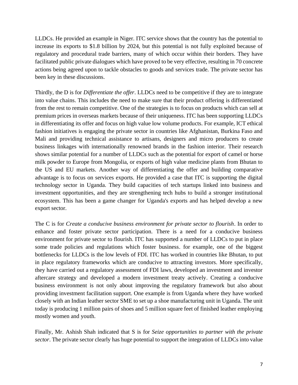LLDCs. He provided an example in Niger. ITC service shows that the country has the potential to increase its exports to \$1.8 billion by 2024, but this potential is not fully exploited because of regulatory and procedural trade barriers, many of which occur within their borders. They have facilitated public private dialogues which have proved to be very effective, resulting in 70 concrete actions being agreed upon to tackle obstacles to goods and services trade. The private sector has been key in these discussions.

Thirdly, the D is for *Differentiate the offer*. LLDCs need to be competitive if they are to integrate into value chains. This includes the need to make sure that their product offering is differentiated from the rest to remain competitive. One of the strategies is to focus on products which can sell at premium prices in overseas markets because of their uniqueness. ITC has been supporting LLDCs in differentiating its offer and focus on high value low volume products. For example, ICT ethical fashion initiatives is engaging the private sector in countries like Afghanistan, Burkina Faso and Mali and providing technical assistance to artisans, designers and micro producers to create business linkages with internationally renowned brands in the fashion interior. Their research shows similar potential for a number of LLDCs such as the potential for export of camel or horse milk powder to Europe from Mongolia, or exports of high value medicine plants from Bhutan to the US and EU markets. Another way of differentiating the offer and building comparative advantage is to focus on services exports. He provided a case that ITC is supporting the digital technology sector in Uganda. They build capacities of tech startups linked into business and investment opportunities, and they are strengthening tech hubs to build a stronger institutional ecosystem. This has been a game changer for Uganda's exports and has helped develop a new export sector.

The C is for *Create a conducive business environment for private sector to flourish*. In order to enhance and foster private sector participation. There is a need for a conducive business environment for private sector to flourish. ITC has supported a number of LLDCs to put in place some trade policies and regulations which foster business. for example, one of the biggest bottlenecks for LLDCs is the low levels of FDI. ITC has worked in countries like Bhutan, to put in place regulatory frameworks which are conducive to attracting investors. More specifically, they have carried out a regulatory assessment of FDI laws, developed an investment and investor aftercare strategy and developed a modern investment treaty actively. Creating a conducive business environment is not only about improving the regulatory framework but also about providing investment facilitation support. One example is from Uganda where they have worked closely with an Indian leather sector SME to set up a shoe manufacturing unit in Uganda. The unit today is producing 1 million pairs of shoes and 5 million square feet of finished leather employing mostly women and youth.

Finally, Mr. Ashish Shah indicated that S is for *Seize opportunities to partner with the private sector*. The private sector clearly has huge potential to support the integration of LLDCs into value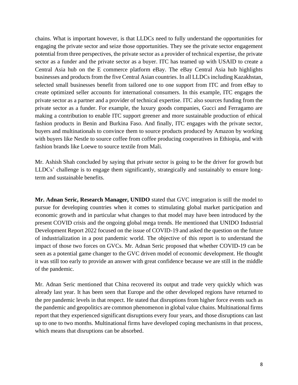chains. What is important however, is that LLDCs need to fully understand the opportunities for engaging the private sector and seize those opportunities. They see the private sector engagement potential from three perspectives, the private sector as a provider of technical expertise, the private sector as a funder and the private sector as a buyer. ITC has teamed up with USAID to create a Central Asia hub on the E commerce platform eBay. The eBay Central Asia hub highlights businesses and products from the five Central Asian countries. In all LLDCs including Kazakhstan, selected small businesses benefit from tailored one to one support from ITC and from eBay to create optimized seller accounts for international consumers. In this example, ITC engages the private sector as a partner and a provider of technical expertise. ITC also sources funding from the private sector as a funder. For example, the luxury goods companies, Gucci and Ferragamo are making a contribution to enable ITC support greener and more sustainable production of ethical fashion products in Benin and Burkina Faso. And finally, ITC engages with the private sector, buyers and multinationals to convince them to source products produced by Amazon by working with buyers like Nestle to source coffee from coffee producing cooperatives in Ethiopia, and with fashion brands like Loewe to source textile from Mali.

Mr. Ashish Shah concluded by saying that private sector is going to be the driver for growth but LLDCs' challenge is to engage them significantly, strategically and sustainably to ensure longterm and sustainable benefits.

**Mr. Adnan Seric, Research Manager, UNIDO** stated that GVC integration is still the model to pursue for developing countries when it comes to stimulating global market participation and economic growth and in particular what changes to that model may have been introduced by the present COVID crisis and the ongoing global mega trends. He mentioned that UNIDO Industrial Development Report 2022 focused on the issue of COVID-19 and asked the question on the future of industrialization in a post pandemic world. The objective of this report is to understand the impact of those two forces on GVCs. Mr. Adnan Seric proposed that whether COVID-19 can be seen as a potential game changer to the GVC driven model of economic development. He thought it was still too early to provide an answer with great confidence because we are still in the middle of the pandemic.

Mr. Adnan Seric mentioned that China recovered its output and trade very quickly which was already last year. It has been seen that Europe and the other developed regions have returned to the pre pandemic levels in that respect. He stated that disruptions from higher force events such as the pandemic and geopolitics are common phenomenon in global value chains. Multinational firms report that they experienced significant disruptions every four years, and those disruptions can last up to one to two months. Multinational firms have developed coping mechanisms in that process, which means that disruptions can be absorbed.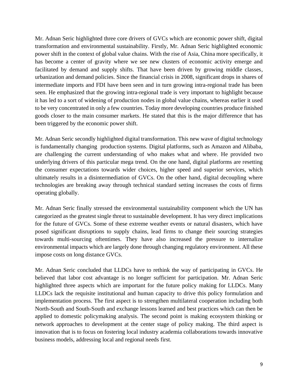Mr. Adnan Seric highlighted three core drivers of GVCs which are economic power shift, digital transformation and environmental sustainability. Firstly, Mr. Adnan Seric highlighted economic power shift in the context of global value chains. With the rise of Asia, China more specifically, it has become a center of gravity where we see new clusters of economic activity emerge and facilitated by demand and supply shifts. That have been driven by growing middle classes, urbanization and demand policies. Since the financial crisis in 2008, significant drops in shares of intermediate imports and FDI have been seen and in turn growing intra-regional trade has been seen. He emphasized that the growing intra-regional trade is very important to highlight because it has led to a sort of widening of production nodes in global value chains, whereas earlier it used to be very concentrated in only a few countries. Today more developing countries produce finished goods closer to the main consumer markets. He stated that this is the major difference that has been triggered by the economic power shift.

Mr. Adnan Seric secondly highlighted digital transformation. This new wave of digital technology is fundamentally changing production systems. Digital platforms, such as Amazon and Alibaba, are challenging the current understanding of who makes what and where. He provided two underlying drivers of this particular mega trend. On the one hand, digital platforms are resetting the consumer expectations towards wider choices, higher speed and superior services, which ultimately results in a disintermediation of GVCs. On the other hand, digital decoupling where technologies are breaking away through technical standard setting increases the costs of firms operating globally.

Mr. Adnan Seric finally stressed the environmental sustainability component which the UN has categorized as the greatest single threat to sustainable development. It has very direct implications for the future of GVCs. Some of these extreme weather events or natural disasters, which have posed significant disruptions to supply chains, lead firms to change their sourcing strategies towards multi-sourcing oftentimes. They have also increased the pressure to internalize environmental impacts which are largely done through changing regulatory environment. All these impose costs on long distance GVCs.

Mr. Adnan Seric concluded that LLDCs have to rethink the way of participating in GVCs. He believed that labor cost advantage is no longer sufficient for participation. Mr. Adnan Seric highlighted three aspects which are important for the future policy making for LLDCs. Many LLDCs lack the requisite institutional and human capacity to drive this policy formulation and implementation process. The first aspect is to strengthen multilateral cooperation including both North-South and South-South and exchange lessons learned and best practices which can then be applied to domestic policymaking analysis. The second point is making ecosystem thinking or network approaches to development at the center stage of policy making. The third aspect is innovation that is to focus on fostering local industry academia collaborations towards innovative business models, addressing local and regional needs first.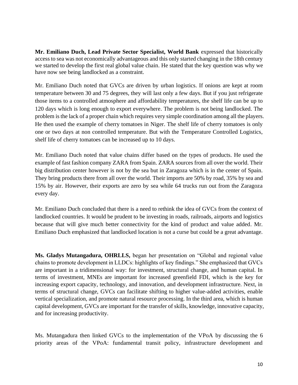**Mr. Emiliano Duch, Lead Private Sector Specialist, World Bank** expressed that historically access to sea was not economically advantageous and this only started changing in the 18th century we started to develop the first real global value chain. He stated that the key question was why we have now see being landlocked as a constraint.

Mr. Emiliano Duch noted that GVCs are driven by urban logistics. If onions are kept at room temperature between 30 and 75 degrees, they will last only a few days. But if you just refrigerate those items to a controlled atmosphere and affordability temperatures, the shelf life can be up to 120 days which is long enough to export everywhere. The problem is not being landlocked. The problem is the lack of a proper chain which requires very simple coordination among all the players. He then used the example of cherry tomatoes in Niger. The shelf life of cherry tomatoes is only one or two days at non controlled temperature. But with the Temperature Controlled Logistics, shelf life of cherry tomatoes can be increased up to 10 days.

Mr. Emiliano Duch noted that value chains differ based on the types of products. He used the example of fast fashion company ZARA from Spain. ZARA sources from all over the world. Their big distribution center however is not by the sea but in Zaragoza which is in the center of Spain. They bring products there from all over the world. Their imports are 50% by road, 35% by sea and 15% by air. However, their exports are zero by sea while 64 trucks run out from the Zaragoza every day.

Mr. Emiliano Duch concluded that there is a need to rethink the idea of GVCs from the context of landlocked countries. It would be prudent to be investing in roads, railroads, airports and logistics because that will give much better connectivity for the kind of product and value added. Mr. Emiliano Duch emphasized that landlocked location is not a curse but could be a great advantage.

**Ms. Gladys Mutangadura, OHRLLS,** began her presentation on "Global and regional value chains to promote development in LLDCs: highlights of key findings." She emphasized that GVCs are important in a tridimensional way: for investment, structural change, and human capital. In terms of investment, MNEs are important for increased greenfield FDI, which is the key for increasing export capacity, technology, and innovation, and development infrastructure. Next, in terms of structural change, GVCs can facilitate shifting to higher value-added activities, enable vertical specialization, and promote natural resource processing. In the third area, which is human capital development, GVCs are important for the transfer of skills, knowledge, innovative capacity, and for increasing productivity.

Ms. Mutangadura then linked GVCs to the implementation of the VPoA by discussing the 6 priority areas of the VPoA: fundamental transit policy, infrastructure development and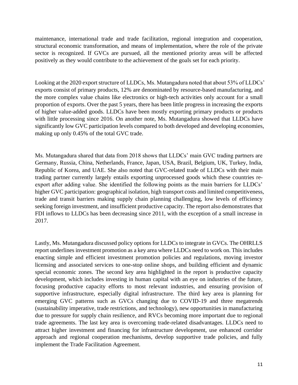maintenance, international trade and trade facilitation, regional integration and cooperation, structural economic transformation, and means of implementation, where the role of the private sector is recognized. If GVCs are pursued, all the mentioned priority areas will be affected positively as they would contribute to the achievement of the goals set for each priority.

Looking at the 2020 export structure of LLDCs, Ms. Mutangadura noted that about 53% of LLDCs' exports consist of primary products, 12% are denominated by resource-based manufacturing, and the more complex value chains like electronics or high-tech activities only account for a small proportion of exports. Over the past 5 years, there has been little progress in increasing the exports of higher value-added goods. LLDCs have been mostly exporting primary products or products with little processing since 2016. On another note, Ms. Mutangadura showed that LLDCs have significantly low GVC participation levels compared to both developed and developing economies, making up only 0.45% of the total GVC trade.

Ms. Mutangadura shared that data from 2018 shows that LLDCs' main GVC trading partners are Germany, Russia, China, Netherlands, France, Japan, USA, Brazil, Belgium, UK, Turkey, India, Republic of Korea, and UAE. She also noted that GVC-related trade of LLDCs with their main trading partner currently largely entails exporting unprocessed goods which these countries reexport after adding value. She identified the following points as the main barriers for LLDCs' higher GVC participation: geographical isolation, high transport costs and limited competitiveness, trade and transit barriers making supply chain planning challenging, low levels of efficiency seeking foreign investment, and insufficient productive capacity. The report also demonstrates that FDI inflows to LLDCs has been decreasing since 2011, with the exception of a small increase in 2017.

Lastly, Ms. Mutangadura discussed policy options for LLDCs to integrate in GVCs. The OHRLLS report underlines investment promotion as a key area where LLDCs need to work on. This includes enacting simple and efficient investment promotion policies and regulations, moving investor licensing and associated services to one-stop online shops, and building efficient and dynamic special economic zones. The second key area highlighted in the report is productive capacity development, which includes investing in human capital with an eye on industries of the future, focusing productive capacity efforts to most relevant industries, and ensuring provision of supportive infrastructure, especially digital infrastructure. The third key area is planning for emerging GVC patterns such as GVCs changing due to COVID-19 and three megatrends (sustainability imperative, trade restrictions, and technology), new opportunities in manufacturing due to pressure for supply chain resilience, and RVCs becoming more important due to regional trade agreements. The last key area is overcoming trade-related disadvantages. LLDCs need to attract higher investment and financing for infrastructure development, use enhanced corridor approach and regional cooperation mechanisms, develop supportive trade policies, and fully implement the Trade Facilitation Agreement.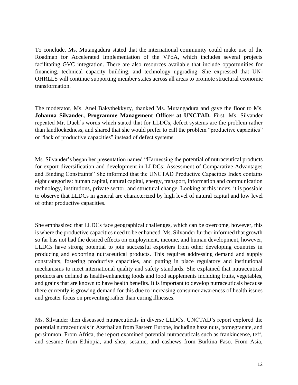To conclude, Ms. Mutangadura stated that the international community could make use of the Roadmap for Accelerated Implementation of the VPoA, which includes several projects facilitating GVC integration. There are also resources available that include opportunities for financing, technical capacity building, and technology upgrading. She expressed that UN-OHRLLS will continue supporting member states across all areas to promote structural economic transformation.

The moderator, Ms. Anel Bakytbekkyzy, thanked Ms. Mutangadura and gave the floor to Ms. **Johanna Silvander, Programme Management Officer at UNCTAD.** First, Ms. Silvander repeated Mr. Duch's words which stated that for LLDCs, defect systems are the problem rather than landlockedness, and shared that she would prefer to call the problem "productive capacities" or "lack of productive capacities" instead of defect systems.

Ms. Silvander's began her presentation named "Harnessing the potential of nutraceutical products for export diversification and development in LLDCs: Assessment of Comparative Advantages and Binding Constraints" She informed that the UNCTAD Productive Capacities Index contains eight categories: human capital, natural capital, energy, transport, information and communication technology, institutions, private sector, and structural change. Looking at this index, it is possible to observe that LLDCs in general are characterized by high level of natural capital and low level of other productive capacities.

She emphasized that LLDCs face geographical challenges, which can be overcome, however, this is where the productive capacities need to be enhanced. Ms. Silvander further informed that growth so far has not had the desired effects on employment, income, and human development, however, LLDCs have strong potential to join successful exporters from other developing countries in producing and exporting nutraceutical products. This requires addressing demand and supply constraints, fostering productive capacities, and putting in place regulatory and institutional mechanisms to meet international quality and safety standards. She explained that nutraceutical products are defined as health-enhancing foods and food supplements including fruits, vegetables, and grains that are known to have health benefits. It is important to develop nutraceuticals because there currently is growing demand for this due to increasing consumer awareness of health issues and greater focus on preventing rather than curing illnesses.

Ms. Silvander then discussed nutraceuticals in diverse LLDCs. UNCTAD's report explored the potential nutraceuticals in Azerbaijan from Eastern Europe, including hazelnuts, pomegranate, and persimmon. From Africa, the report examined potential nutraceuticals such as frankincense, teff, and sesame from Ethiopia, and shea, sesame, and cashews from Burkina Faso. From Asia,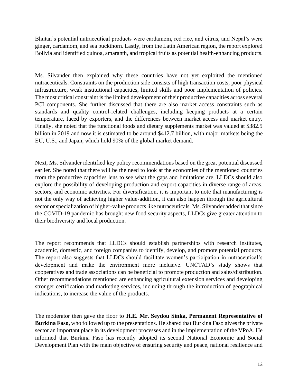Bhutan's potential nutraceutical products were cardamom, red rice, and citrus, and Nepal's were ginger, cardamom, and sea buckthorn. Lastly, from the Latin American region, the report explored Bolivia and identified quinoa, amaranth, and tropical fruits as potential health-enhancing products.

Ms. Silvander then explained why these countries have not yet exploited the mentioned nutraceuticals. Constraints on the production side consists of high transaction costs, poor physical infrastructure, weak institutional capacities, limited skills and poor implementation of policies. The most critical constraint is the limited development of their productive capacities across several PCI components. She further discussed that there are also market access constraints such as standards and quality control-related challenges, including keeping products at a certain temperature, faced by exporters, and the differences between market access and market entry. Finally, she noted that the functional foods and dietary supplements market was valued at \$382.5 billion in 2019 and now it is estimated to be around \$412.7 billion, with major markets being the EU, U.S., and Japan, which hold 90% of the global market demand.

Next, Ms. Silvander identified key policy recommendations based on the great potential discussed earlier. She noted that there will be the need to look at the economies of the mentioned countries from the productive capacities lens to see what the gaps and limitations are. LLDCs should also explore the possibility of developing production and export capacities in diverse range of areas, sectors, and economic activities. For diversification, it is important to note that manufacturing is not the only way of achieving higher value-addition, it can also happen through the agricultural sector or specialization of higher-value products like nutraceuticals. Ms. Silvander added that since the COVID-19 pandemic has brought new food security aspects, LLDCs give greater attention to their biodiversity and local production.

The report recommends that LLDCs should establish partnerships with research institutes, academic, domestic, and foreign companies to identify, develop, and promote potential products. The report also suggests that LLDCs should facilitate women's participation in nutraceutical's development and make the environment more inclusive. UNCTAD's study shows that cooperatives and trade associations can be beneficial to promote production and sales/distribution. Other recommendations mentioned are enhancing agricultural extension services and developing stronger certification and marketing services, including through the introduction of geographical indications, to increase the value of the products.

The moderator then gave the floor to **H.E. Mr. Seydou Sinka, Permanent Representative of Burkina Faso,** who followed up to the presentations. He shared that Burkina Faso gives the private sector an important place in its development processes and in the implementation of the VPoA. He informed that Burkina Faso has recently adopted its second National Economic and Social Development Plan with the main objective of ensuring security and peace, national resilience and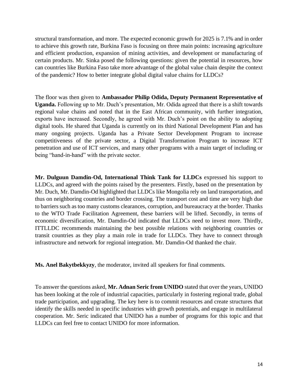structural transformation, and more. The expected economic growth for 2025 is 7.1% and in order to achieve this growth rate, Burkina Faso is focusing on three main points: increasing agriculture and efficient production, expansion of mining activities, and development or manufacturing of certain products. Mr. Sinka posed the following questions: given the potential in resources, how can countries like Burkina Faso take more advantage of the global value chain despite the context of the pandemic? How to better integrate global digital value chains for LLDCs?

The floor was then given to **Ambassador Philip Odida, Deputy Permanent Representative of Uganda.** Following up to Mr. Duch's presentation, Mr. Odida agreed that there is a shift towards regional value chains and noted that in the East African community, with further integration, exports have increased. Secondly, he agreed with Mr. Duch's point on the ability to adopting digital tools. He shared that Uganda is currently on its third National Development Plan and has many ongoing projects. Uganda has a Private Sector Development Program to increase competitiveness of the private sector, a Digital Transformation Program to increase ICT penetration and use of ICT services, and many other programs with a main target of including or being "hand-in-hand" with the private sector.

**Mr. Dulguun Damdin-Od, International Think Tank for LLDCs** expressed his support to LLDCs, and agreed with the points raised by the presenters. Firstly, based on the presentation by Mr. Duch, Mr. Damdin-Od highlighted that LLDCs like Mongolia rely on land transportation, and thus on neighboring countries and border crossing. The transport cost and time are very high due to barriers such as too many customs clearances, corruption, and bureaucracy at the border. Thanks to the WTO Trade Facilitation Agreement, these barriers will be lifted. Secondly, in terms of economic diversification, Mr. Damdin-Od indicated that LLDCs need to invest more. Thirdly, ITTLLDC recommends maintaining the best possible relations with neighboring countries or transit countries as they play a main role in trade for LLDCs. They have to connect through infrastructure and network for regional integration. Mr. Damdin-Od thanked the chair.

**Ms. Anel Bakytbekkyzy**, the moderator, invited all speakers for final comments.

To answer the questions asked, **Mr. Adnan Seric from UNIDO** stated that over the years, UNIDO has been looking at the role of industrial capacities, particularly in fostering regional trade, global trade participation, and upgrading. The key here is to commit resources and create structures that identify the skills needed in specific industries with growth potentials, and engage in multilateral cooperation. Mr. Seric indicated that UNIDO has a number of programs for this topic and that LLDCs can feel free to contact UNIDO for more information.